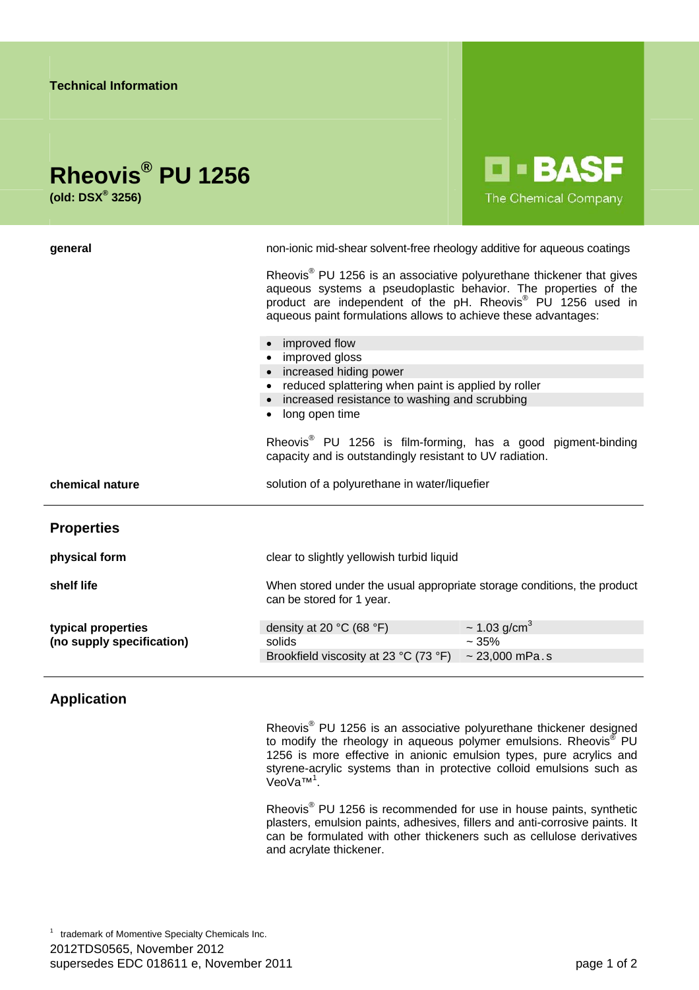| <b>Technical Information</b>                              |                                                                                                                                                                                                                                                                                                                                                                                                                                                                                                                                                                                                                                                                                                                    |
|-----------------------------------------------------------|--------------------------------------------------------------------------------------------------------------------------------------------------------------------------------------------------------------------------------------------------------------------------------------------------------------------------------------------------------------------------------------------------------------------------------------------------------------------------------------------------------------------------------------------------------------------------------------------------------------------------------------------------------------------------------------------------------------------|
| Rheovis <sup>®</sup> PU 1256<br>(old: $DSX^{\circ}$ 3256) | <b>LI-BASF</b><br>The Chemical Company                                                                                                                                                                                                                                                                                                                                                                                                                                                                                                                                                                                                                                                                             |
| general                                                   | non-ionic mid-shear solvent-free rheology additive for aqueous coatings<br>Rheovis <sup>®</sup> PU 1256 is an associative polyurethane thickener that gives<br>aqueous systems a pseudoplastic behavior. The properties of the<br>product are independent of the pH. Rheovis <sup>®</sup> PU 1256 used in<br>aqueous paint formulations allows to achieve these advantages:<br>improved flow<br>• improved gloss<br>• increased hiding power<br>• reduced splattering when paint is applied by roller<br>• increased resistance to washing and scrubbing<br>long open time<br>Rheovis <sup>®</sup> PU 1256 is film-forming, has a good pigment-binding<br>capacity and is outstandingly resistant to UV radiation. |
| chemical nature                                           | solution of a polyurethane in water/liquefier                                                                                                                                                                                                                                                                                                                                                                                                                                                                                                                                                                                                                                                                      |
| <b>Properties</b>                                         |                                                                                                                                                                                                                                                                                                                                                                                                                                                                                                                                                                                                                                                                                                                    |
| physical form                                             | clear to slightly yellowish turbid liquid                                                                                                                                                                                                                                                                                                                                                                                                                                                                                                                                                                                                                                                                          |
| shelf life                                                | When stored under the usual appropriate storage conditions, the product<br>can be stored for 1 year.                                                                                                                                                                                                                                                                                                                                                                                                                                                                                                                                                                                                               |
| typical properties<br>(no supply specification)           | $\sim$ 1.03 g/cm <sup>3</sup><br>density at 20 °C (68 °F)<br>$~1.35\%$<br>solids<br>$~23,000$ mPa.s<br>Brookfield viscosity at 23 °C (73 °F)                                                                                                                                                                                                                                                                                                                                                                                                                                                                                                                                                                       |
|                                                           |                                                                                                                                                                                                                                                                                                                                                                                                                                                                                                                                                                                                                                                                                                                    |

**Application** 

Rheovis<sup>®</sup> PU 1256 is an associative polyurethane thickener designed to modify the rheology in aqueous polymer emulsions. Rheovis<sup>®</sup> PU 1256 is more effective in anionic emulsion types, pure acrylics and styrene-acrylic systems than in protective colloid emulsions such as VeoVa™<sup>1</sup>.

Rheovis<sup>®</sup> PU 1256 is recommended for use in house paints, synthetic plasters, emulsion paints, adhesives, fillers and anti-corrosive paints. It can be formulated with other thickeners such as cellulose derivatives and acrylate thickener.